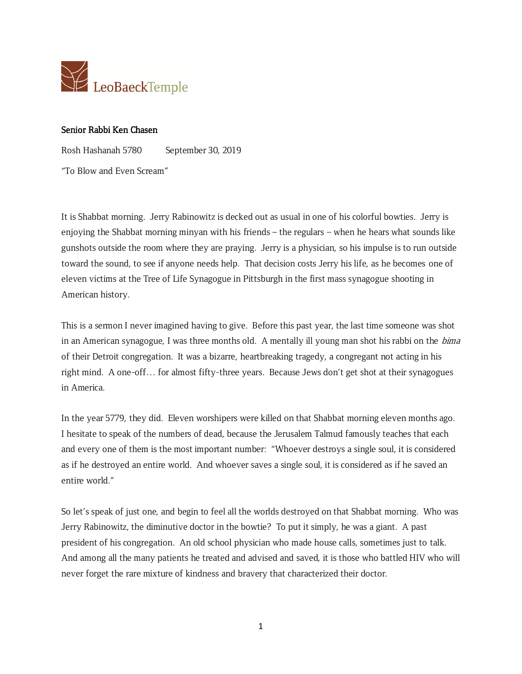

## Senior Rabbi Ken Chasen

Rosh Hashanah 5780 September 30, 2019

"To Blow and Even Scream"

It is Shabbat morning. Jerry Rabinowitz is decked out as usual in one of his colorful bowties. Jerry is enjoying the Shabbat morning minyan with his friends – the regulars – when he hears what sounds like gunshots outside the room where they are praying. Jerry is a physician, so his impulse is to run outside toward the sound, to see if anyone needs help. That decision costs Jerry his life, as he becomes one of eleven victims at the Tree of Life Synagogue in Pittsburgh in the first mass synagogue shooting in American history.

This is a sermon I never imagined having to give. Before this past year, the last time someone was shot in an American synagogue, I was three months old. A mentally ill young man shot his rabbi on the *bima* of their Detroit congregation. It was a bizarre, heartbreaking tragedy, a congregant not acting in his right mind. A one-off… for almost fifty-three years. Because Jews don't get shot at their synagogues in America.

In the year 5779, they did. Eleven worshipers were killed on that Shabbat morning eleven months ago. I hesitate to speak of the numbers of dead, because the Jerusalem Talmud famously teaches that each and every one of them is the most important number: "Whoever destroys a single soul, it is considered as if he destroyed an entire world. And whoever saves a single soul, it is considered as if he saved an entire world."

So let's speak of just one, and begin to feel all the worlds destroyed on that Shabbat morning. Who was Jerry Rabinowitz, the diminutive doctor in the bowtie? To put it simply, he was a giant. A past president of his congregation. An old school physician who made house calls, sometimes just to talk. And among all the many patients he treated and advised and saved, it is those who battled HIV who will never forget the rare mixture of kindness and bravery that characterized their doctor.

1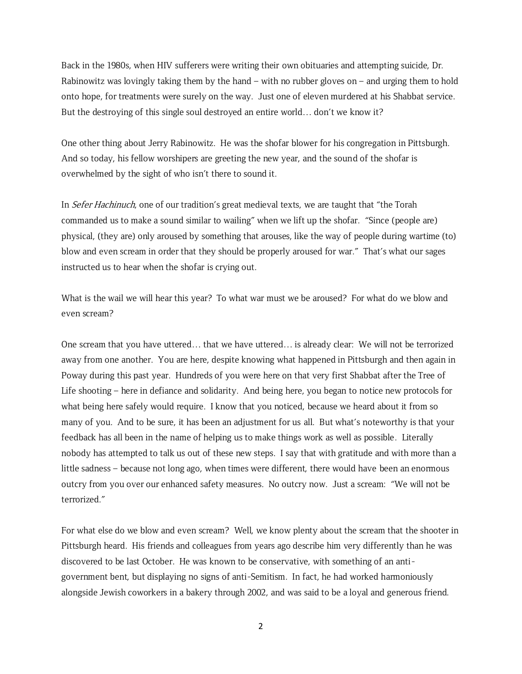Back in the 1980s, when HIV sufferers were writing their own obituaries and attempting suicide, Dr. Rabinowitz was lovingly taking them by the hand – with no rubber gloves on – and urging them to hold onto hope, for treatments were surely on the way. Just one of eleven murdered at his Shabbat service. But the destroying of this single soul destroyed an entire world… don't we know it?

One other thing about Jerry Rabinowitz. He was the shofar blower for his congregation in Pittsburgh. And so today, his fellow worshipers are greeting the new year, and the sound of the shofar is overwhelmed by the sight of who isn't there to sound it.

In *Sefer Hachinuch*, one of our tradition's great medieval texts, we are taught that "the Torah commanded us to make a sound similar to wailing" when we lift up the shofar. "Since (people are) physical, (they are) only aroused by something that arouses, like the way of people during wartime (to) blow and even scream in order that they should be properly aroused for war." That's what our sages instructed us to hear when the shofar is crying out.

What is the wail we will hear this year? To what war must we be aroused? For what do we blow and even scream?

One scream that you have uttered… that we have uttered… is already clear: We will not be terrorized away from one another. You are here, despite knowing what happened in Pittsburgh and then again in Poway during this past year. Hundreds of you were here on that very first Shabbat after the Tree of Life shooting – here in defiance and solidarity. And being here, you began to notice new protocols for what being here safely would require. I know that you noticed, because we heard about it from so many of you. And to be sure, it has been an adjustment for us all. But what's noteworthy is that your feedback has all been in the name of helping us to make things work as well as possible. Literally nobody has attempted to talk us out of these new steps. I say that with gratitude and with more than a little sadness – because not long ago, when times were different, there would have been an enormous outcry from you over our enhanced safety measures. No outcry now. Just a scream: "We will not be terrorized."

For what else do we blow and even scream? Well, we know plenty about the scream that the shooter in Pittsburgh heard. His friends and colleagues from years ago describe him very differently than he was discovered to be last October. He was known to be conservative, with something of an antigovernment bent, but displaying no signs of anti-Semitism. In fact, he had worked harmoniously alongside Jewish coworkers in a bakery through 2002, and was said to be a loyal and generous friend.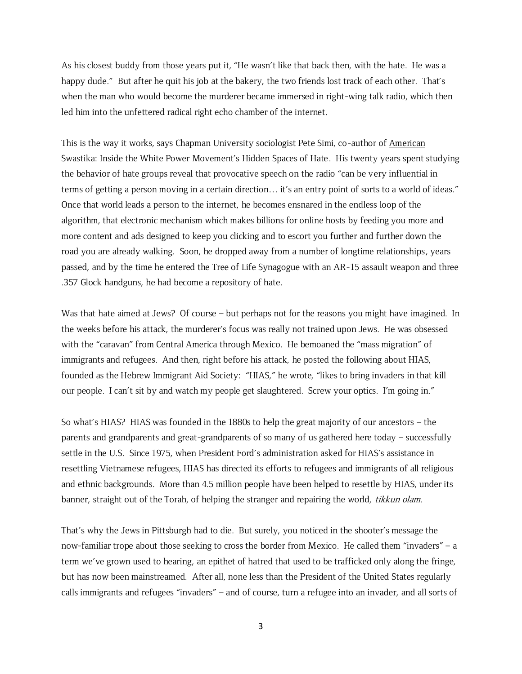As his closest buddy from those years put it, "He wasn't like that back then, with the hate. He was a happy dude." But after he quit his job at the bakery, the two friends lost track of each other. That's when the man who would become the murderer became immersed in right-wing talk radio, which then led him into the unfettered radical right echo chamber of the internet.

This is the way it works, says Chapman University sociologist Pete Simi, co-author of American Swastika: Inside the White Power Movement's Hidden Spaces of Hate. His twenty years spent studying the behavior of hate groups reveal that provocative speech on the radio "can be very influential in terms of getting a person moving in a certain direction… it's an entry point of sorts to a world of ideas." Once that world leads a person to the internet, he becomes ensnared in the endless loop of the algorithm, that electronic mechanism which makes billions for online hosts by feeding you more and more content and ads designed to keep you clicking and to escort you further and further down the road you are already walking. Soon, he dropped away from a number of longtime relationships, years passed, and by the time he entered the Tree of Life Synagogue with an AR-15 assault weapon and three .357 Glock handguns, he had become a repository of hate.

Was that hate aimed at Jews? Of course – but perhaps not for the reasons you might have imagined. In the weeks before his attack, the murderer's focus was really not trained upon Jews. He was obsessed with the "caravan" from Central America through Mexico. He bemoaned the "mass migration" of immigrants and refugees. And then, right before his attack, he posted the following about HIAS, founded as the Hebrew Immigrant Aid Society: "HIAS," he wrote, "likes to bring invaders in that kill our people. I can't sit by and watch my people get slaughtered. Screw your optics. I'm going in."

So what's HIAS? HIAS was founded in the 1880s to help the great majority of our ancestors – the parents and grandparents and great-grandparents of so many of us gathered here today – successfully settle in the U.S. Since 1975, when President Ford's administration asked for HIAS's assistance in resettling Vietnamese refugees, HIAS has directed its efforts to refugees and immigrants of all religious and ethnic backgrounds. More than 4.5 million people have been helped to resettle by HIAS, under its banner, straight out of the Torah, of helping the stranger and repairing the world, tikkun olam.

That's why the Jews in Pittsburgh had to die. But surely, you noticed in the shooter's message the now-familiar trope about those seeking to cross the border from Mexico. He called them "invaders" – a term we've grown used to hearing, an epithet of hatred that used to be trafficked only along the fringe, but has now been mainstreamed. After all, none less than the President of the United States regularly calls immigrants and refugees "invaders" – and of course, turn a refugee into an invader, and all sorts of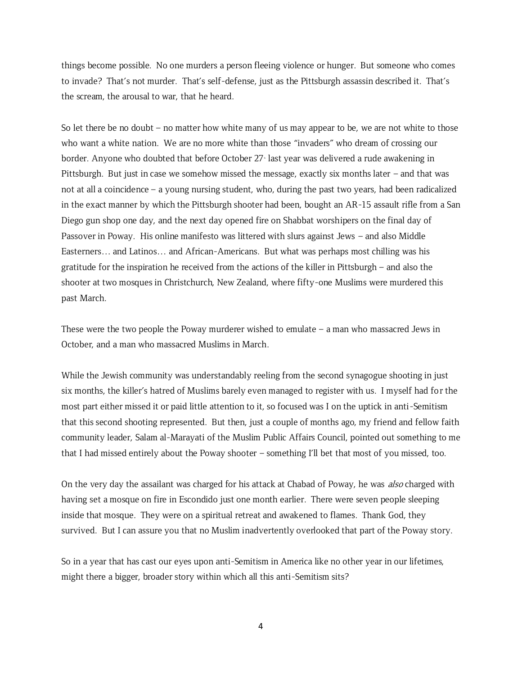things become possible. No one murders a person fleeing violence or hunger. But someone who comes to invade? That's not murder. That's self-defense, just as the Pittsburgh assassin described it. That's the scream, the arousal to war, that he heard.

So let there be no doubt – no matter how white many of us may appear to be, we are not white to those who want a white nation. We are no more white than those "invaders" who dream of crossing our border. Anyone who doubted that before October 27 last year was delivered a rude awakening in Pittsburgh. But just in case we somehow missed the message, exactly six months later – and that was not at all a coincidence – a young nursing student, who, during the past two years, had been radicalized in the exact manner by which the Pittsburgh shooter had been, bought an AR-15 assault rifle from a San Diego gun shop one day, and the next day opened fire on Shabbat worshipers on the final day of Passover in Poway. His online manifesto was littered with slurs against Jews – and also Middle Easterners… and Latinos… and African-Americans. But what was perhaps most chilling was his gratitude for the inspiration he received from the actions of the killer in Pittsburgh – and also the shooter at two mosques in Christchurch, New Zealand, where fifty-one Muslims were murdered this past March.

These were the two people the Poway murderer wished to emulate – a man who massacred Jews in October, and a man who massacred Muslims in March.

While the Jewish community was understandably reeling from the second synagogue shooting in just six months, the killer's hatred of Muslims barely even managed to register with us. I myself had for the most part either missed it or paid little attention to it, so focused was I on the uptick in anti-Semitism that this second shooting represented. But then, just a couple of months ago, my friend and fellow faith community leader, Salam al-Marayati of the Muslim Public Affairs Council, pointed out something to me that I had missed entirely about the Poway shooter – something I'll bet that most of you missed, too.

On the very day the assailant was charged for his attack at Chabad of Poway, he was *also* charged with having set a mosque on fire in Escondido just one month earlier. There were seven people sleeping inside that mosque. They were on a spiritual retreat and awakened to flames. Thank God, they survived. But I can assure you that no Muslim inadvertently overlooked that part of the Poway story.

So in a year that has cast our eyes upon anti-Semitism in America like no other year in our lifetimes, might there a bigger, broader story within which all this anti-Semitism sits?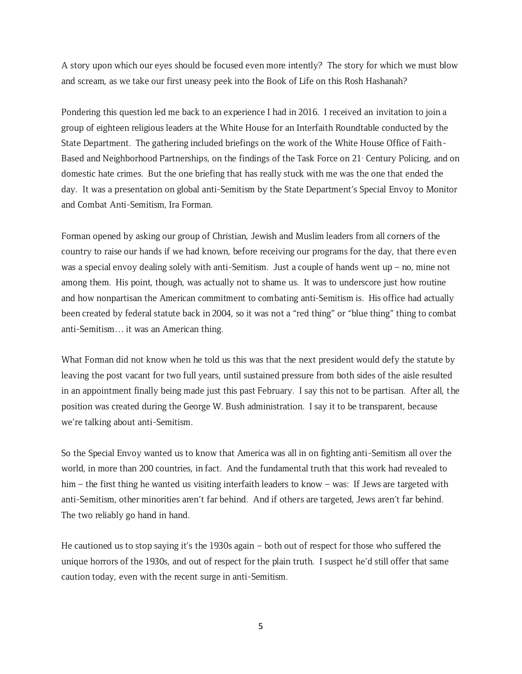A story upon which our eyes should be focused even more intently? The story for which we must blow and scream, as we take our first uneasy peek into the Book of Life on this Rosh Hashanah?

Pondering this question led me back to an experience I had in 2016. I received an invitation to join a group of eighteen religious leaders at the White House for an Interfaith Roundtable conducted by the State Department. The gathering included briefings on the work of the White House Office of Faith-Based and Neighborhood Partnerships, on the findings of the Task Force on  $21$  Century Policing, and on domestic hate crimes. But the one briefing that has really stuck with me was the one that ended the day. It was a presentation on global anti-Semitism by the State Department's Special Envoy to Monitor and Combat Anti-Semitism, Ira Forman.

Forman opened by asking our group of Christian, Jewish and Muslim leaders from all corners of the country to raise our hands if we had known, before receiving our programs for the day, that there even was a special envoy dealing solely with anti-Semitism. Just a couple of hands went up – no, mine not among them. His point, though, was actually not to shame us. It was to underscore just how routine and how nonpartisan the American commitment to combating anti-Semitism is. His office had actually been created by federal statute back in 2004, so it was not a "red thing" or "blue thing" thing to combat anti-Semitism… it was an American thing.

What Forman did not know when he told us this was that the next president would defy the statute by leaving the post vacant for two full years, until sustained pressure from both sides of the aisle resulted in an appointment finally being made just this past February. I say this not to be partisan. After all, the position was created during the George W. Bush administration. I say it to be transparent, because we're talking about anti-Semitism.

So the Special Envoy wanted us to know that America was all in on fighting anti-Semitism all over the world, in more than 200 countries, in fact. And the fundamental truth that this work had revealed to him – the first thing he wanted us visiting interfaith leaders to know – was: If Jews are targeted with anti-Semitism, other minorities aren't far behind. And if others are targeted, Jews aren't far behind. The two reliably go hand in hand.

He cautioned us to stop saying it's the 1930s again – both out of respect for those who suffered the unique horrors of the 1930s, and out of respect for the plain truth. I suspect he'd still offer that same caution today, even with the recent surge in anti-Semitism.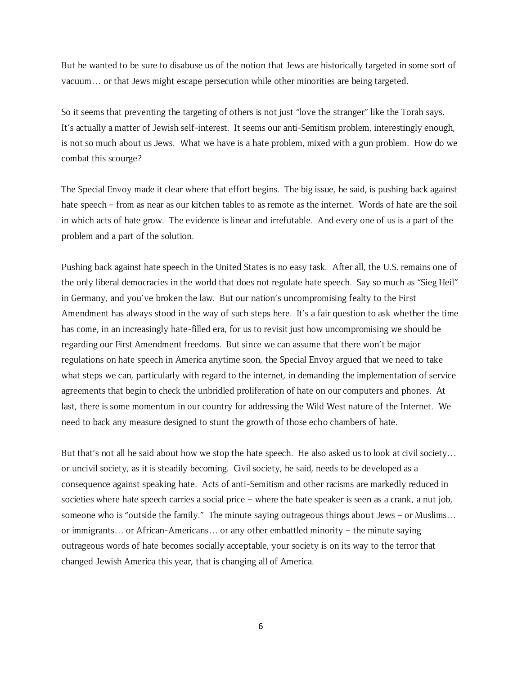But he wanted to be sure to disabuse us of the notion that Jews are historically targeted in some sort of vacuum… or that Jews might escape persecution while other minorities are being targeted.

So it seems that preventing the targeting of others is not just "love the stranger" like the Torah says. It's actually a matter of Jewish self-interest. It seems our anti-Semitism problem, interestingly enough, is not so much about us Jews. What we have is a hate problem, mixed with a gun problem. How do we combat this scourge?

The Special Envoy made it clear where that effort begins. The big issue, he said, is pushing back against hate speech – from as near as our kitchen tables to as remote as the internet. Words of hate are the soil in which acts of hate grow. The evidence is linear and irrefutable. And every one of us is a part of the problem and a part of the solution.

Pushing back against hate speech in the United States is no easy task. After all, the U.S. remains one of the only liberal democracies in the world that does not regulate hate speech. Say so much as "Sieg Heil" in Germany, and you've broken the law. But our nation's uncompromising fealty to the First Amendment has always stood in the way of such steps here. It's a fair question to ask whether the time has come, in an increasingly hate-filled era, for us to revisit just how uncompromising we should be regarding our First Amendment freedoms. But since we can assume that there won't be major regulations on hate speech in America anytime soon, the Special Envoy argued that we need to take what steps we can, particularly with regard to the internet, in demanding the implementation of service agreements that begin to check the unbridled proliferation of hate on our computers and phones. At last, there is some momentum in our country for addressing the Wild West nature of the Internet. We need to back any measure designed to stunt the growth of those echo chambers of hate.

But that's not all he said about how we stop the hate speech. He also asked us to look at civil society… or uncivil society, as it is steadily becoming. Civil society, he said, needs to be developed as a consequence against speaking hate. Acts of anti-Semitism and other racisms are markedly reduced in societies where hate speech carries a social price – where the hate speaker is seen as a crank, a nut job, someone who is "outside the family." The minute saying outrageous things about Jews - or Muslims... or immigrants… or African-Americans… or any other embattled minority – the minute saying outrageous words of hate becomes socially acceptable, your society is on its way to the terror that changed Jewish America this year, that is changing all of America.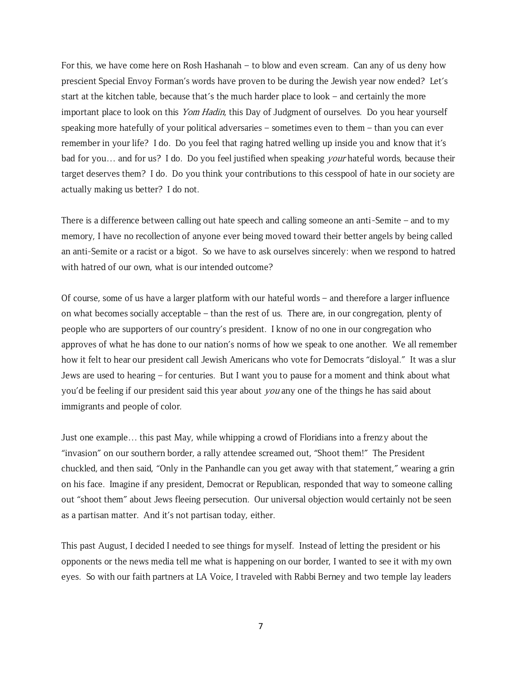For this, we have come here on Rosh Hashanah – to blow and even scream. Can any of us deny how prescient Special Envoy Forman's words have proven to be during the Jewish year now ended? Let's start at the kitchen table, because that's the much harder place to look – and certainly the more important place to look on this Yom Hadin, this Day of Judgment of ourselves. Do you hear yourself speaking more hatefully of your political adversaries – sometimes even to them – than you can ever remember in your life? I do. Do you feel that raging hatred welling up inside you and know that it's bad for you... and for us? I do. Do you feel justified when speaking *your* hateful words, because their target deserves them? I do. Do you think your contributions to this cesspool of hate in our society are actually making us better? I do not.

There is a difference between calling out hate speech and calling someone an anti-Semite – and to my memory, I have no recollection of anyone ever being moved toward their better angels by being called an anti-Semite or a racist or a bigot. So we have to ask ourselves sincerely: when we respond to hatred with hatred of our own, what is our intended outcome?

Of course, some of us have a larger platform with our hateful words – and therefore a larger influence on what becomes socially acceptable – than the rest of us. There are, in our congregation, plenty of people who are supporters of our country's president. I know of no one in our congregation who approves of what he has done to our nation's norms of how we speak to one another. We all remember how it felt to hear our president call Jewish Americans who vote for Democrats "disloyal." It was a slur Jews are used to hearing – for centuries. But I want you to pause for a moment and think about what you'd be feeling if our president said this year about *you* any one of the things he has said about immigrants and people of color.

Just one example… this past May, while whipping a crowd of Floridians into a frenzy about the "invasion" on our southern border, a rally attendee screamed out, "Shoot them!" The President chuckled, and then said, "Only in the Panhandle can you get away with that statement," wearing a grin on his face. Imagine if any president, Democrat or Republican, responded that way to someone calling out "shoot them" about Jews fleeing persecution. Our universal objection would certainly not be seen as a partisan matter. And it's not partisan today, either.

This past August, I decided I needed to see things for myself. Instead of letting the president or his opponents or the news media tell me what is happening on our border, I wanted to see it with my own eyes. So with our faith partners at LA Voice, I traveled with Rabbi Berney and two temple lay leaders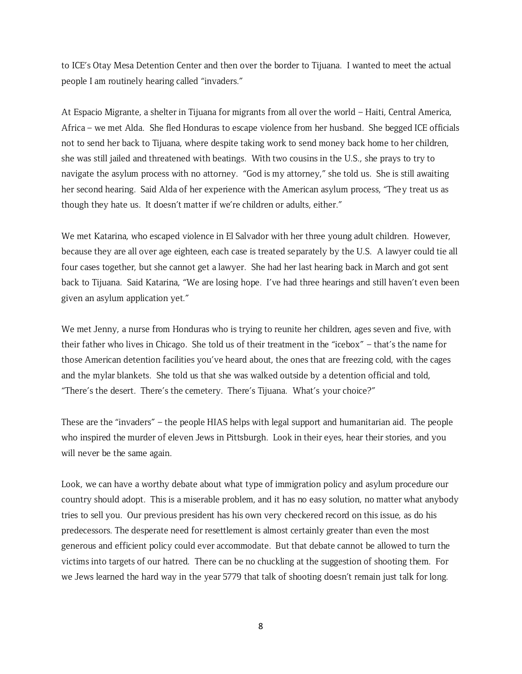to ICE's Otay Mesa Detention Center and then over the border to Tijuana. I wanted to meet the actual people I am routinely hearing called "invaders."

At Espacio Migrante, a shelter in Tijuana for migrants from all over the world – Haiti, Central America, Africa – we met Alda. She fled Honduras to escape violence from her husband. She begged ICE officials not to send her back to Tijuana, where despite taking work to send money back home to her children, she was still jailed and threatened with beatings. With two cousins in the U.S., she prays to try to navigate the asylum process with no attorney. "God is my attorney," she told us. She is still awaiting her second hearing. Said Alda of her experience with the American asylum process, "They treat us as though they hate us. It doesn't matter if we're children or adults, either."

We met Katarina, who escaped violence in El Salvador with her three young adult children. However, because they are all over age eighteen, each case is treated separately by the U.S. A lawyer could tie all four cases together, but she cannot get a lawyer. She had her last hearing back in March and got sent back to Tijuana. Said Katarina, "We are losing hope. I've had three hearings and still haven't even been given an asylum application yet."

We met Jenny, a nurse from Honduras who is trying to reunite her children, ages seven and five, with their father who lives in Chicago. She told us of their treatment in the "icebox" – that's the name for those American detention facilities you've heard about, the ones that are freezing cold, with the cages and the mylar blankets. She told us that she was walked outside by a detention official and told, "There's the desert. There's the cemetery. There's Tijuana. What's your choice?"

These are the "invaders" – the people HIAS helps with legal support and humanitarian aid. The people who inspired the murder of eleven Jews in Pittsburgh. Look in their eyes, hear their stories, and you will never be the same again.

Look, we can have a worthy debate about what type of immigration policy and asylum procedure our country should adopt. This is a miserable problem, and it has no easy solution, no matter what anybody tries to sell you. Our previous president has his own very checkered record on this issue, as do his predecessors. The desperate need for resettlement is almost certainly greater than even the most generous and efficient policy could ever accommodate. But that debate cannot be allowed to turn the victims into targets of our hatred. There can be no chuckling at the suggestion of shooting them. For we Jews learned the hard way in the year 5779 that talk of shooting doesn't remain just talk for long.